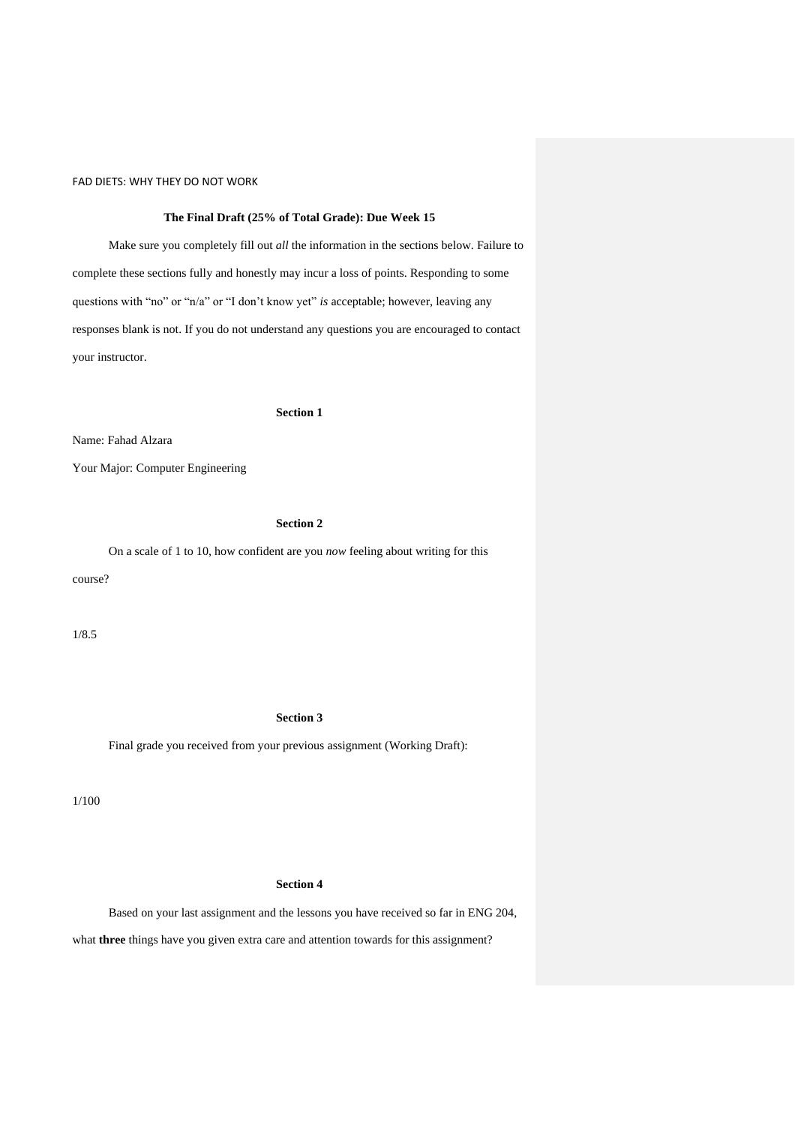## **The Final Draft (25% of Total Grade): Due Week 15**

Make sure you completely fill out *all* the information in the sections below. Failure to complete these sections fully and honestly may incur a loss of points. Responding to some questions with "no" or "n/a" or "I don't know yet" *is* acceptable; however, leaving any responses blank is not. If you do not understand any questions you are encouraged to contact your instructor.

#### **Section 1**

Name: Fahad Alzara

Your Major: Computer Engineering

# **Section 2**

On a scale of 1 to 10, how confident are you *now* feeling about writing for this course?

1/8.5

### **Section 3**

Final grade you received from your previous assignment (Working Draft):

1/100

# **Section 4**

Based on your last assignment and the lessons you have received so far in ENG 204,

what **three** things have you given extra care and attention towards for this assignment?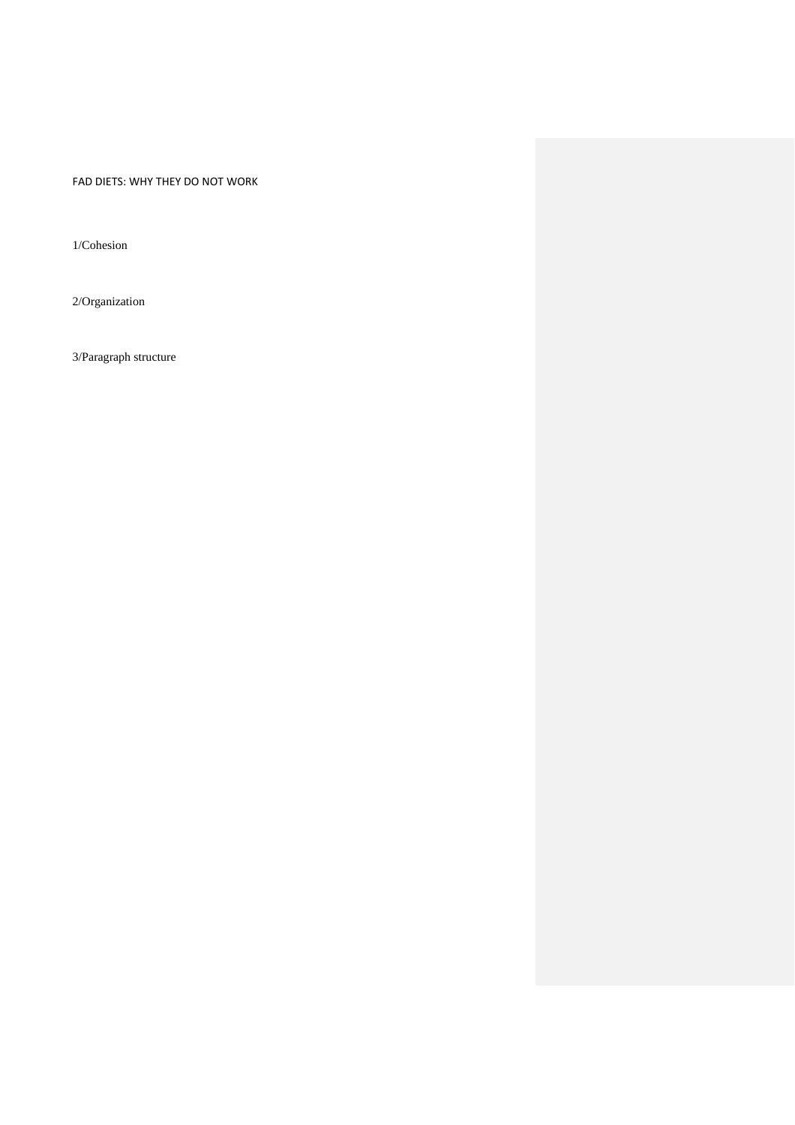1/Cohesion

2/Organization

3/Paragraph structure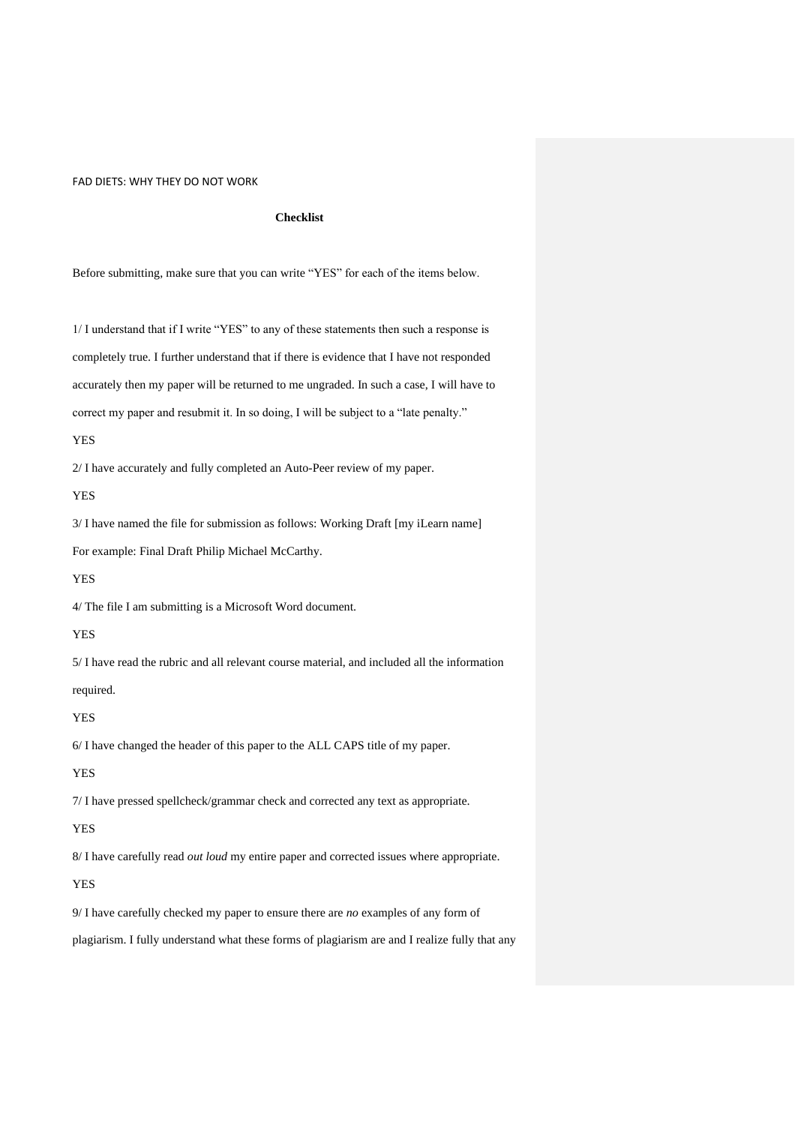### **Checklist**

Before submitting, make sure that you can write "YES" for each of the items below.

1/ I understand that if I write "YES" to any of these statements then such a response is completely true. I further understand that if there is evidence that I have not responded accurately then my paper will be returned to me ungraded. In such a case, I will have to correct my paper and resubmit it. In so doing, I will be subject to a "late penalty."

#### YES

2/ I have accurately and fully completed an Auto-Peer review of my paper.

YES

3/ I have named the file for submission as follows: Working Draft [my iLearn name] For example: Final Draft Philip Michael McCarthy.

#### YES

4/ The file I am submitting is a Microsoft Word document.

# YES

5/ I have read the rubric and all relevant course material, and included all the information required.

#### YES

6/ I have changed the header of this paper to the ALL CAPS title of my paper.

### YES

7/ I have pressed spellcheck/grammar check and corrected any text as appropriate.

# YES

8/ I have carefully read *out loud* my entire paper and corrected issues where appropriate.

### YES

9/ I have carefully checked my paper to ensure there are *no* examples of any form of

plagiarism. I fully understand what these forms of plagiarism are and I realize fully that any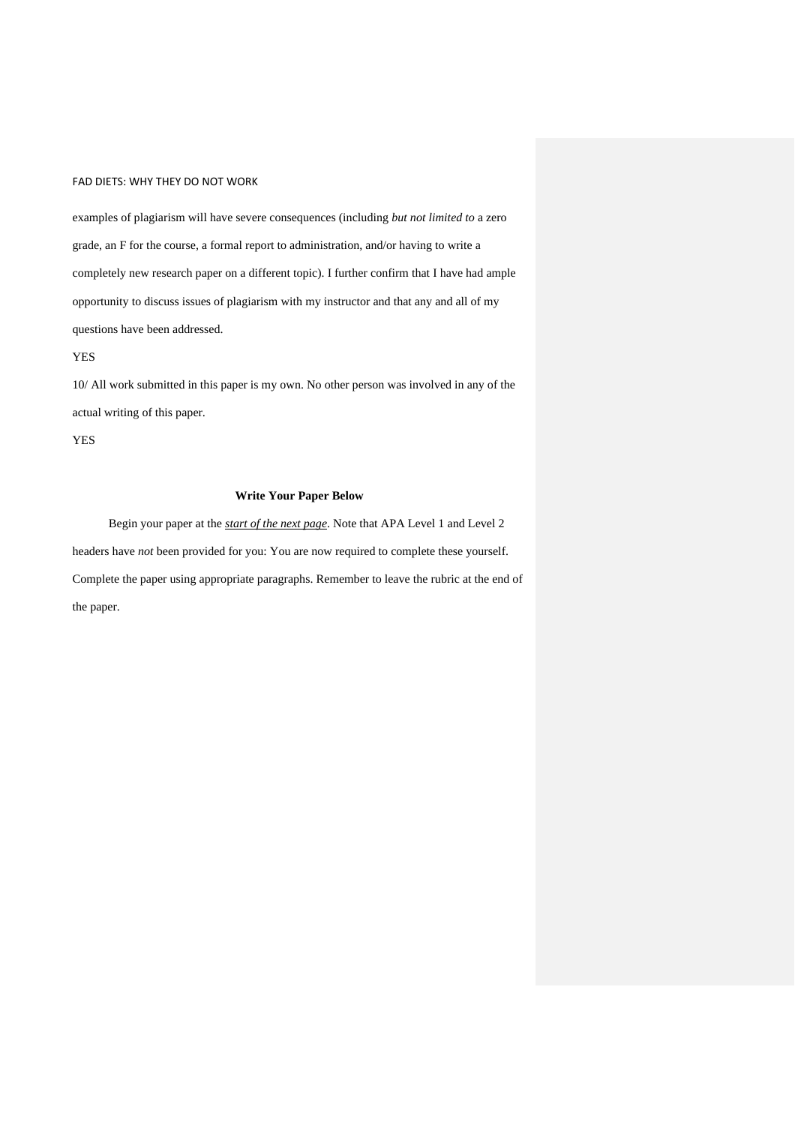examples of plagiarism will have severe consequences (including *but not limited to* a zero grade, an F for the course, a formal report to administration, and/or having to write a completely new research paper on a different topic). I further confirm that I have had ample opportunity to discuss issues of plagiarism with my instructor and that any and all of my questions have been addressed.

YES

10/ All work submitted in this paper is my own. No other person was involved in any of the actual writing of this paper.

YES

# **Write Your Paper Below**

Begin your paper at the *start of the next page*. Note that APA Level 1 and Level 2 headers have *not* been provided for you: You are now required to complete these yourself. Complete the paper using appropriate paragraphs. Remember to leave the rubric at the end of the paper.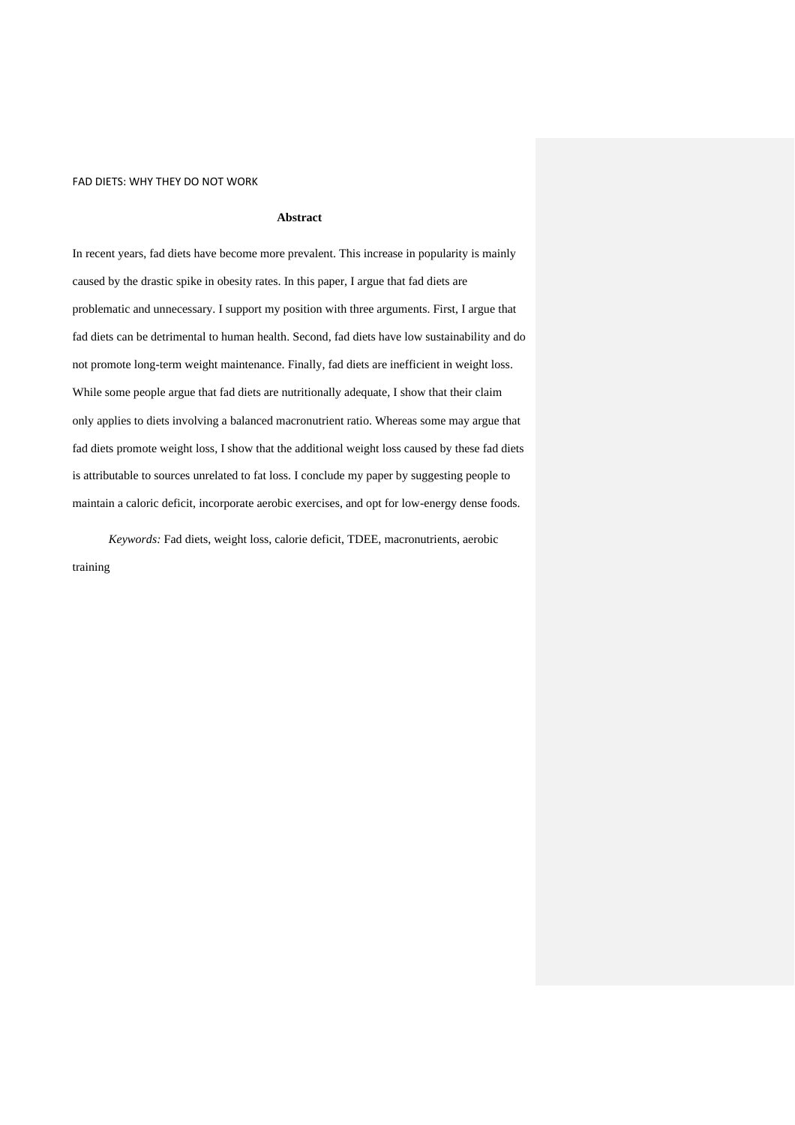## **Abstract**

In recent years, fad diets have become more prevalent. This increase in popularity is mainly caused by the drastic spike in obesity rates. In this paper, I argue that fad diets are problematic and unnecessary. I support my position with three arguments. First, I argue that fad diets can be detrimental to human health. Second, fad diets have low sustainability and do not promote long-term weight maintenance. Finally, fad diets are inefficient in weight loss. While some people argue that fad diets are nutritionally adequate, I show that their claim only applies to diets involving a balanced macronutrient ratio. Whereas some may argue that fad diets promote weight loss, I show that the additional weight loss caused by these fad diets is attributable to sources unrelated to fat loss. I conclude my paper by suggesting people to maintain a caloric deficit, incorporate aerobic exercises, and opt for low-energy dense foods.

*Keywords:* Fad diets, weight loss, calorie deficit, TDEE, macronutrients, aerobic training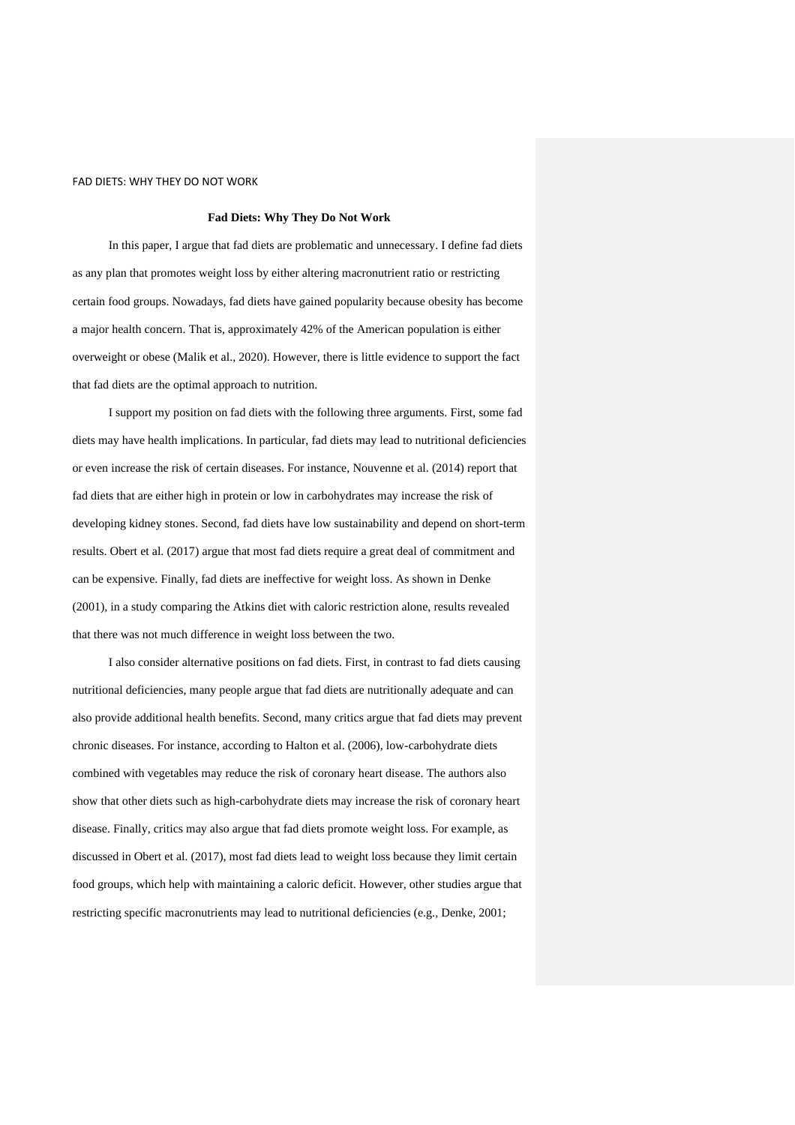### **Fad Diets: Why They Do Not Work**

In this paper, I argue that fad diets are problematic and unnecessary. I define fad diets as any plan that promotes weight loss by either altering macronutrient ratio or restricting certain food groups. Nowadays, fad diets have gained popularity because obesity has become a major health concern. That is, approximately 42% of the American population is either overweight or obese (Malik et al., 2020). However, there is little evidence to support the fact that fad diets are the optimal approach to nutrition.

I support my position on fad diets with the following three arguments. First, some fad diets may have health implications. In particular, fad diets may lead to nutritional deficiencies or even increase the risk of certain diseases. For instance, Nouvenne et al. (2014) report that fad diets that are either high in protein or low in carbohydrates may increase the risk of developing kidney stones. Second, fad diets have low sustainability and depend on short-term results. Obert et al. (2017) argue that most fad diets require a great deal of commitment and can be expensive. Finally, fad diets are ineffective for weight loss. As shown in Denke (2001), in a study comparing the Atkins diet with caloric restriction alone, results revealed that there was not much difference in weight loss between the two.

I also consider alternative positions on fad diets. First, in contrast to fad diets causing nutritional deficiencies, many people argue that fad diets are nutritionally adequate and can also provide additional health benefits. Second, many critics argue that fad diets may prevent chronic diseases. For instance, according to Halton et al. (2006), low-carbohydrate diets combined with vegetables may reduce the risk of coronary heart disease. The authors also show that other diets such as high-carbohydrate diets may increase the risk of coronary heart disease. Finally, critics may also argue that fad diets promote weight loss. For example, as discussed in Obert et al. (2017), most fad diets lead to weight loss because they limit certain food groups, which help with maintaining a caloric deficit. However, other studies argue that restricting specific macronutrients may lead to nutritional deficiencies (e.g., Denke, 2001;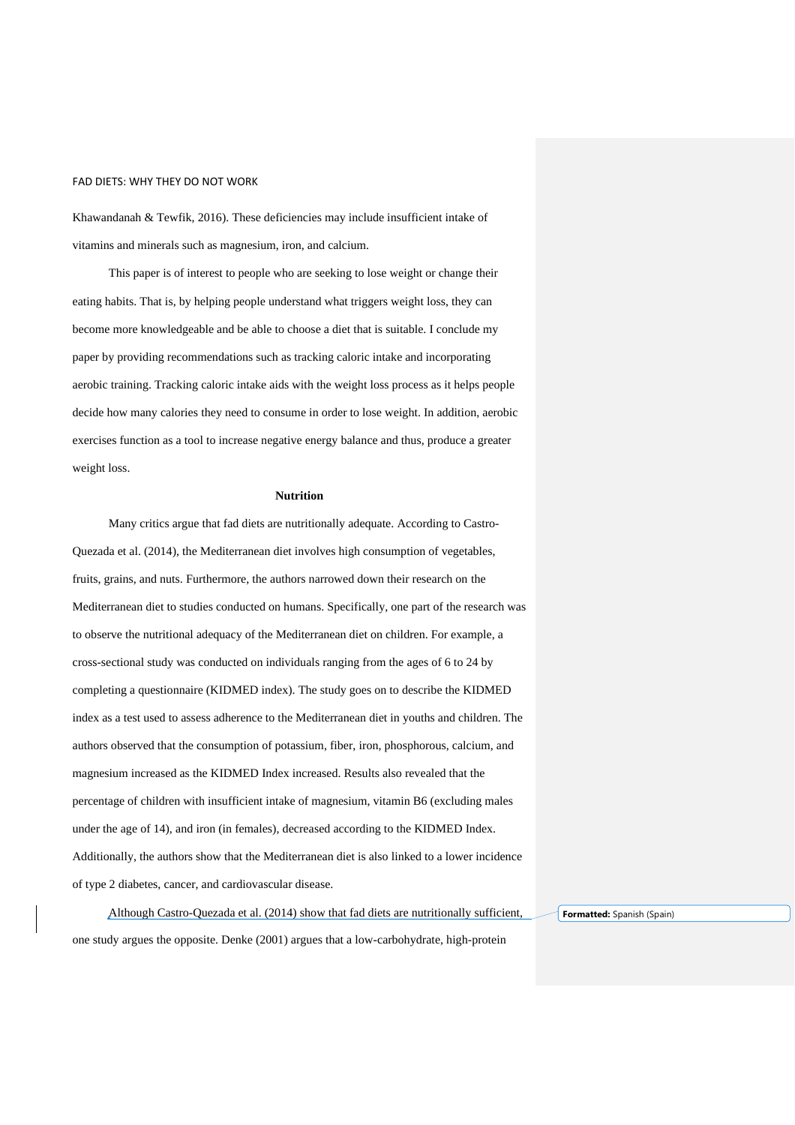Khawandanah & Tewfik, 2016). These deficiencies may include insufficient intake of vitamins and minerals such as magnesium, iron, and calcium.

This paper is of interest to people who are seeking to lose weight or change their eating habits. That is, by helping people understand what triggers weight loss, they can become more knowledgeable and be able to choose a diet that is suitable. I conclude my paper by providing recommendations such as tracking caloric intake and incorporating aerobic training. Tracking caloric intake aids with the weight loss process as it helps people decide how many calories they need to consume in order to lose weight. In addition, aerobic exercises function as a tool to increase negative energy balance and thus, produce a greater weight loss.

## **Nutrition**

Many critics argue that fad diets are nutritionally adequate. According to Castro-Quezada et al. (2014), the Mediterranean diet involves high consumption of vegetables, fruits, grains, and nuts. Furthermore, the authors narrowed down their research on the Mediterranean diet to studies conducted on humans. Specifically, one part of the research was to observe the nutritional adequacy of the Mediterranean diet on children. For example, a cross-sectional study was conducted on individuals ranging from the ages of 6 to 24 by completing a questionnaire (KIDMED index). The study goes on to describe the KIDMED index as a test used to assess adherence to the Mediterranean diet in youths and children. The authors observed that the consumption of potassium, fiber, iron, phosphorous, calcium, and magnesium increased as the KIDMED Index increased. Results also revealed that the percentage of children with insufficient intake of magnesium, vitamin B6 (excluding males under the age of 14), and iron (in females), decreased according to the KIDMED Index. Additionally, the authors show that the Mediterranean diet is also linked to a lower incidence of type 2 diabetes, cancer, and cardiovascular disease.

Although Castro-Quezada et al. (2014) show that fad diets are nutritionally sufficient, one study argues the opposite. Denke (2001) argues that a low-carbohydrate, high-protein

**Formatted:** Spanish (Spain)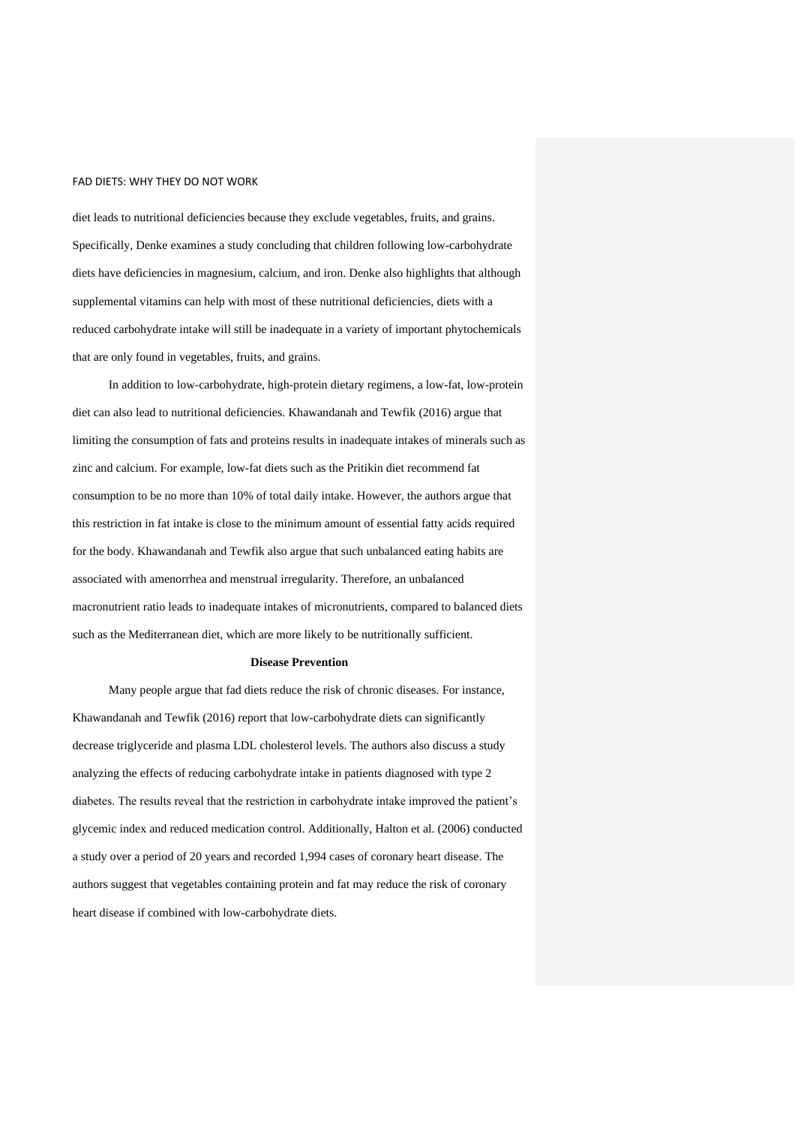diet leads to nutritional deficiencies because they exclude vegetables, fruits, and grains. Specifically, Denke examines a study concluding that children following low-carbohydrate diets have deficiencies in magnesium, calcium, and iron. Denke also highlights that although supplemental vitamins can help with most of these nutritional deficiencies, diets with a reduced carbohydrate intake will still be inadequate in a variety of important phytochemicals that are only found in vegetables, fruits, and grains.

In addition to low-carbohydrate, high-protein dietary regimens, a low-fat, low-protein diet can also lead to nutritional deficiencies. Khawandanah and Tewfik (2016) argue that limiting the consumption of fats and proteins results in inadequate intakes of minerals such as zinc and calcium. For example, low-fat diets such as the Pritikin diet recommend fat consumption to be no more than 10% of total daily intake. However, the authors argue that this restriction in fat intake is close to the minimum amount of essential fatty acids required for the body. Khawandanah and Tewfik also argue that such unbalanced eating habits are associated with amenorrhea and menstrual irregularity. Therefore, an unbalanced macronutrient ratio leads to inadequate intakes of micronutrients, compared to balanced diets such as the Mediterranean diet, which are more likely to be nutritionally sufficient.

#### **Disease Prevention**

Many people argue that fad diets reduce the risk of chronic diseases. For instance, Khawandanah and Tewfik (2016) report that low-carbohydrate diets can significantly decrease triglyceride and plasma LDL cholesterol levels. The authors also discuss a study analyzing the effects of reducing carbohydrate intake in patients diagnosed with type 2 diabetes. The results reveal that the restriction in carbohydrate intake improved the patient's glycemic index and reduced medication control. Additionally, Halton et al. (2006) conducted a study over a period of 20 years and recorded 1,994 cases of coronary heart disease. The authors suggest that vegetables containing protein and fat may reduce the risk of coronary heart disease if combined with low-carbohydrate diets.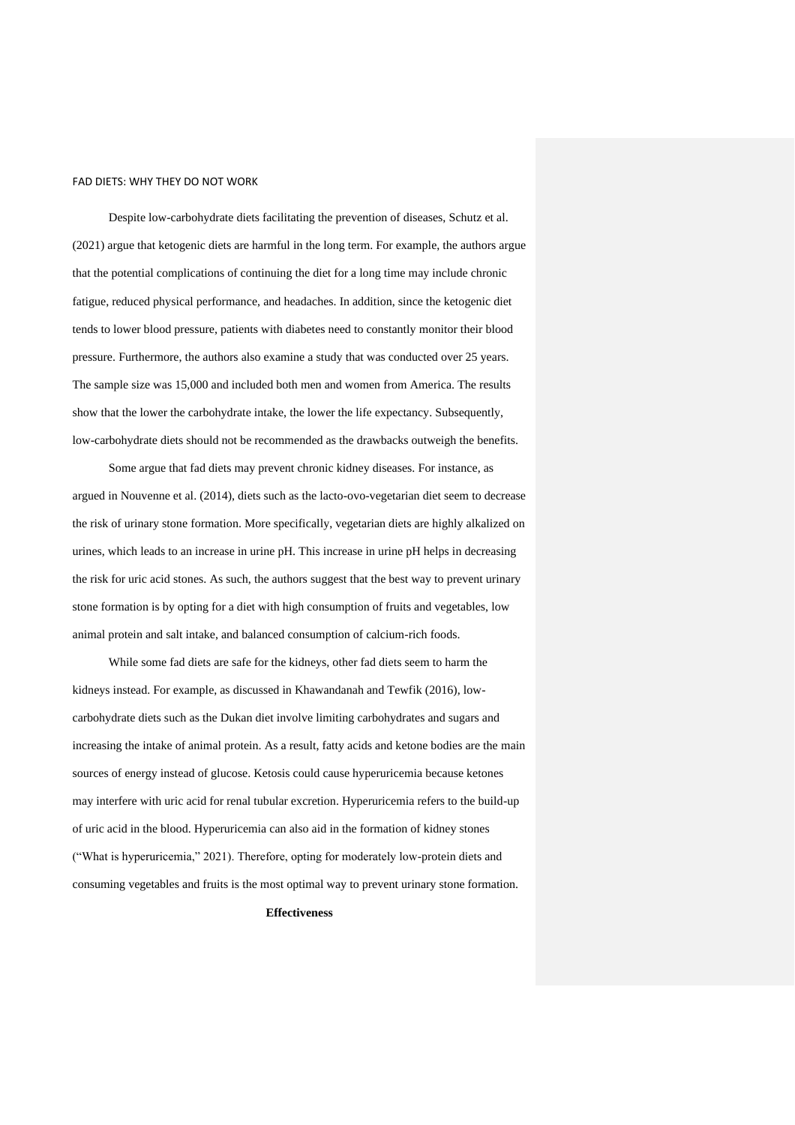Despite low-carbohydrate diets facilitating the prevention of diseases, Schutz et al. (2021) argue that ketogenic diets are harmful in the long term. For example, the authors argue that the potential complications of continuing the diet for a long time may include chronic fatigue, reduced physical performance, and headaches. In addition, since the ketogenic diet tends to lower blood pressure, patients with diabetes need to constantly monitor their blood pressure. Furthermore, the authors also examine a study that was conducted over 25 years. The sample size was 15,000 and included both men and women from America. The results show that the lower the carbohydrate intake, the lower the life expectancy. Subsequently, low-carbohydrate diets should not be recommended as the drawbacks outweigh the benefits.

Some argue that fad diets may prevent chronic kidney diseases. For instance, as argued in Nouvenne et al. (2014), diets such as the lacto-ovo-vegetarian diet seem to decrease the risk of urinary stone formation. More specifically, vegetarian diets are highly alkalized on urines, which leads to an increase in urine pH. This increase in urine pH helps in decreasing the risk for uric acid stones. As such, the authors suggest that the best way to prevent urinary stone formation is by opting for a diet with high consumption of fruits and vegetables, low animal protein and salt intake, and balanced consumption of calcium-rich foods.

While some fad diets are safe for the kidneys, other fad diets seem to harm the kidneys instead. For example, as discussed in Khawandanah and Tewfik (2016), lowcarbohydrate diets such as the Dukan diet involve limiting carbohydrates and sugars and increasing the intake of animal protein. As a result, fatty acids and ketone bodies are the main sources of energy instead of glucose. Ketosis could cause hyperuricemia because ketones may interfere with uric acid for renal tubular excretion. Hyperuricemia refers to the build-up of uric acid in the blood. Hyperuricemia can also aid in the formation of kidney stones ("What is hyperuricemia," 2021). Therefore, opting for moderately low-protein diets and consuming vegetables and fruits is the most optimal way to prevent urinary stone formation.

# **Effectiveness**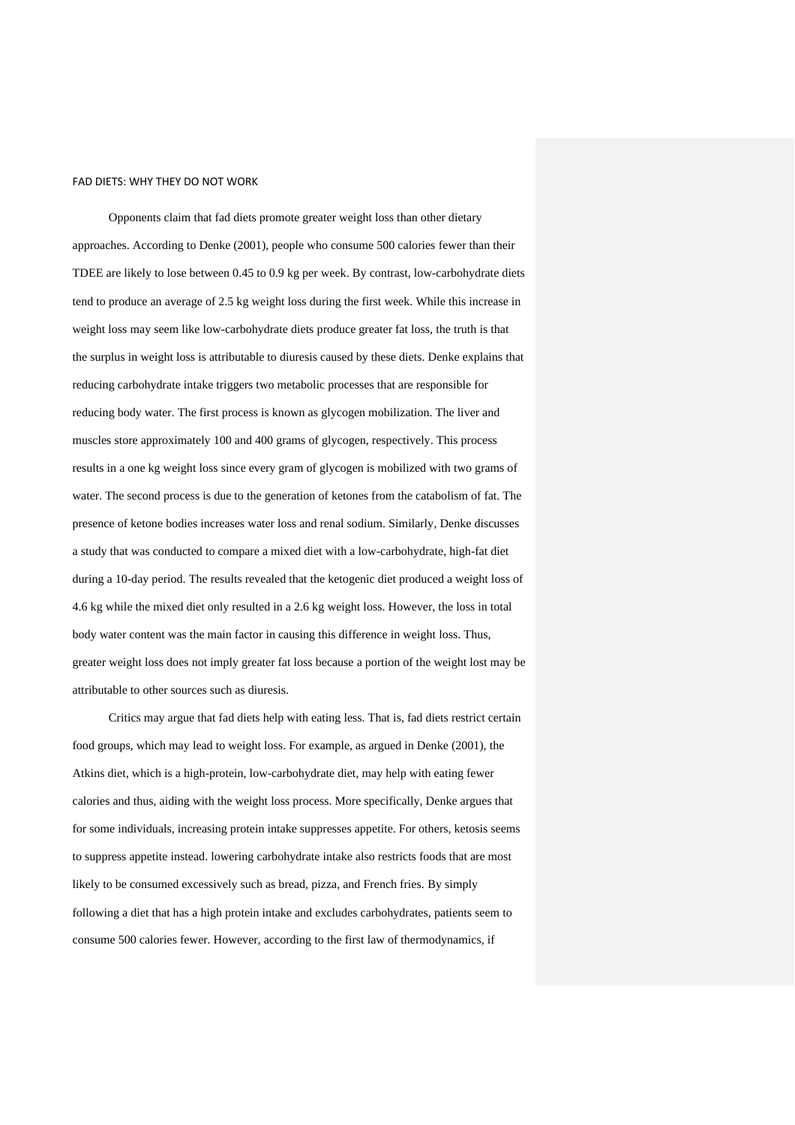Opponents claim that fad diets promote greater weight loss than other dietary approaches. According to Denke (2001), people who consume 500 calories fewer than their TDEE are likely to lose between 0.45 to 0.9 kg per week. By contrast, low-carbohydrate diets tend to produce an average of 2.5 kg weight loss during the first week. While this increase in weight loss may seem like low-carbohydrate diets produce greater fat loss, the truth is that the surplus in weight loss is attributable to diuresis caused by these diets. Denke explains that reducing carbohydrate intake triggers two metabolic processes that are responsible for reducing body water. The first process is known as glycogen mobilization. The liver and muscles store approximately 100 and 400 grams of glycogen, respectively. This process results in a one kg weight loss since every gram of glycogen is mobilized with two grams of water. The second process is due to the generation of ketones from the catabolism of fat. The presence of ketone bodies increases water loss and renal sodium. Similarly, Denke discusses a study that was conducted to compare a mixed diet with a low-carbohydrate, high-fat diet during a 10-day period. The results revealed that the ketogenic diet produced a weight loss of 4.6 kg while the mixed diet only resulted in a 2.6 kg weight loss. However, the loss in total body water content was the main factor in causing this difference in weight loss. Thus, greater weight loss does not imply greater fat loss because a portion of the weight lost may be attributable to other sources such as diuresis.

Critics may argue that fad diets help with eating less. That is, fad diets restrict certain food groups, which may lead to weight loss. For example, as argued in Denke (2001), the Atkins diet, which is a high-protein, low-carbohydrate diet, may help with eating fewer calories and thus, aiding with the weight loss process. More specifically, Denke argues that for some individuals, increasing protein intake suppresses appetite. For others, ketosis seems to suppress appetite instead. lowering carbohydrate intake also restricts foods that are most likely to be consumed excessively such as bread, pizza, and French fries. By simply following a diet that has a high protein intake and excludes carbohydrates, patients seem to consume 500 calories fewer. However, according to the first law of thermodynamics, if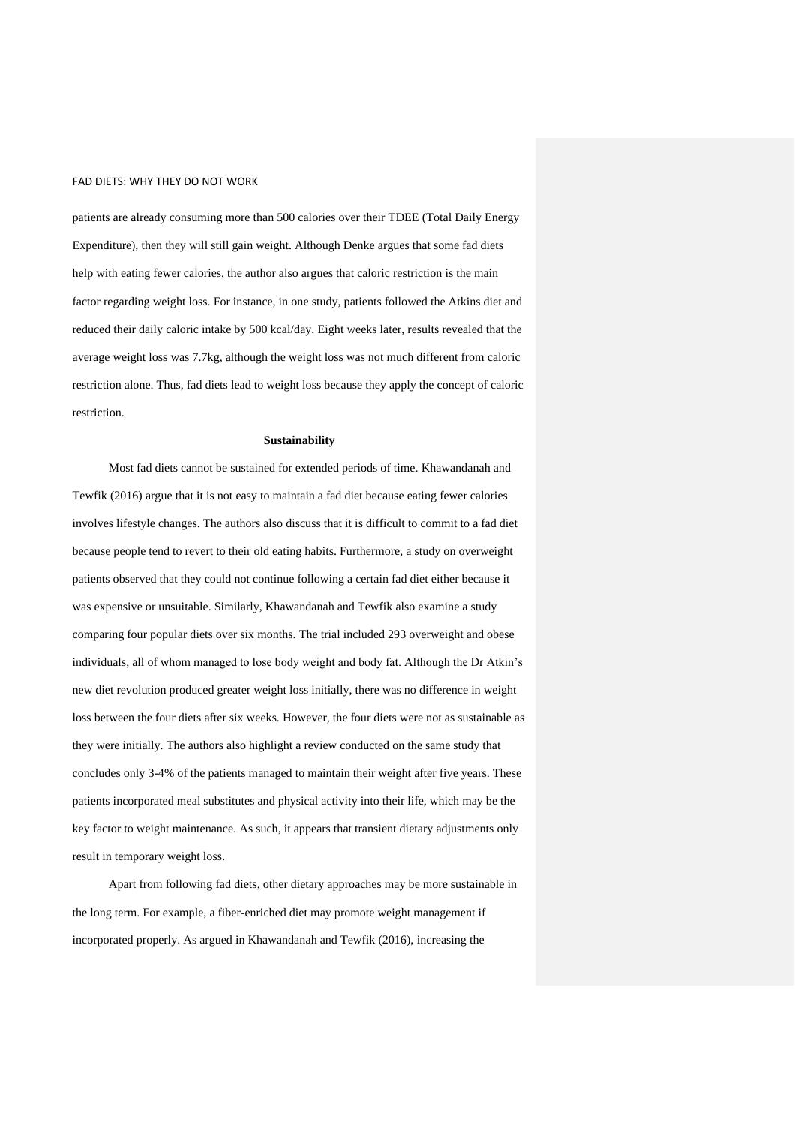patients are already consuming more than 500 calories over their TDEE (Total Daily Energy Expenditure), then they will still gain weight. Although Denke argues that some fad diets help with eating fewer calories, the author also argues that caloric restriction is the main factor regarding weight loss. For instance, in one study, patients followed the Atkins diet and reduced their daily caloric intake by 500 kcal/day. Eight weeks later, results revealed that the average weight loss was 7.7kg, although the weight loss was not much different from caloric restriction alone. Thus, fad diets lead to weight loss because they apply the concept of caloric restriction.

#### **Sustainability**

Most fad diets cannot be sustained for extended periods of time. Khawandanah and Tewfik (2016) argue that it is not easy to maintain a fad diet because eating fewer calories involves lifestyle changes. The authors also discuss that it is difficult to commit to a fad diet because people tend to revert to their old eating habits. Furthermore, a study on overweight patients observed that they could not continue following a certain fad diet either because it was expensive or unsuitable. Similarly, Khawandanah and Tewfik also examine a study comparing four popular diets over six months. The trial included 293 overweight and obese individuals, all of whom managed to lose body weight and body fat. Although the Dr Atkin's new diet revolution produced greater weight loss initially, there was no difference in weight loss between the four diets after six weeks. However, the four diets were not as sustainable as they were initially. The authors also highlight a review conducted on the same study that concludes only 3-4% of the patients managed to maintain their weight after five years. These patients incorporated meal substitutes and physical activity into their life, which may be the key factor to weight maintenance. As such, it appears that transient dietary adjustments only result in temporary weight loss.

Apart from following fad diets, other dietary approaches may be more sustainable in the long term. For example, a fiber-enriched diet may promote weight management if incorporated properly. As argued in Khawandanah and Tewfik (2016), increasing the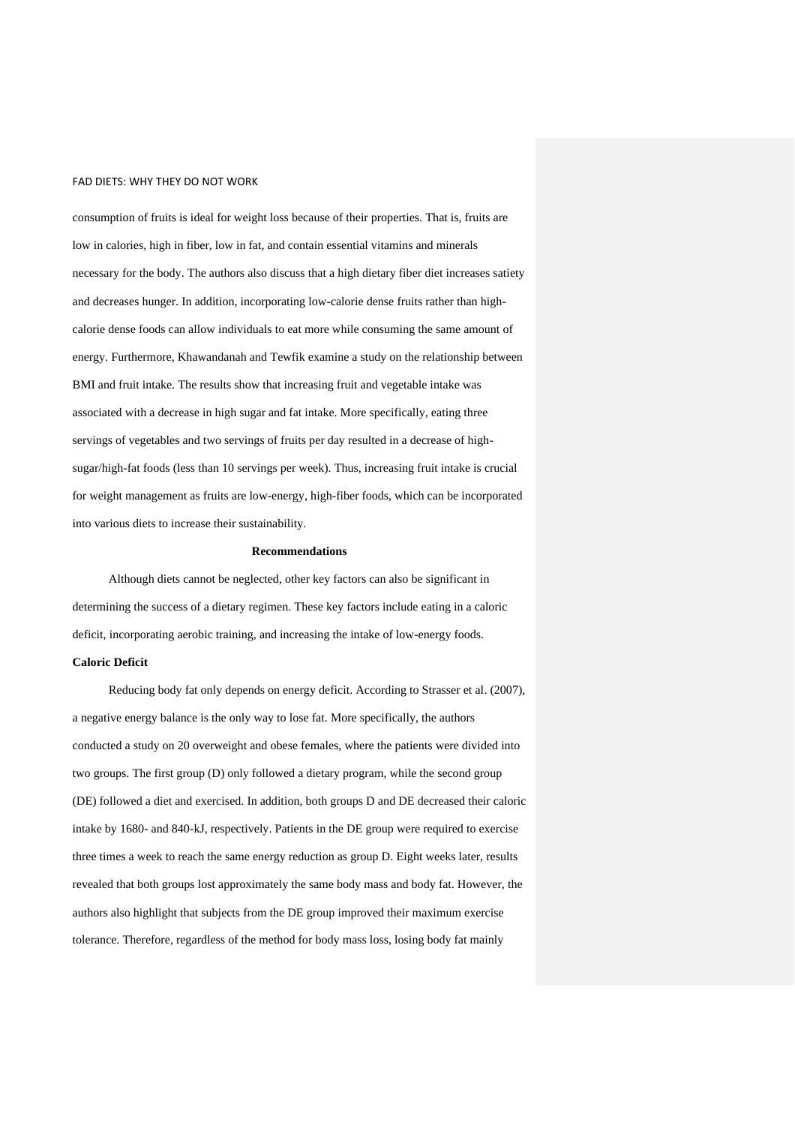consumption of fruits is ideal for weight loss because of their properties. That is, fruits are low in calories, high in fiber, low in fat, and contain essential vitamins and minerals necessary for the body. The authors also discuss that a high dietary fiber diet increases satiety and decreases hunger. In addition, incorporating low-calorie dense fruits rather than highcalorie dense foods can allow individuals to eat more while consuming the same amount of energy. Furthermore, Khawandanah and Tewfik examine a study on the relationship between BMI and fruit intake. The results show that increasing fruit and vegetable intake was associated with a decrease in high sugar and fat intake. More specifically, eating three servings of vegetables and two servings of fruits per day resulted in a decrease of highsugar/high-fat foods (less than 10 servings per week). Thus, increasing fruit intake is crucial for weight management as fruits are low-energy, high-fiber foods, which can be incorporated into various diets to increase their sustainability.

#### **Recommendations**

Although diets cannot be neglected, other key factors can also be significant in determining the success of a dietary regimen. These key factors include eating in a caloric deficit, incorporating aerobic training, and increasing the intake of low-energy foods.

## **Caloric Deficit**

Reducing body fat only depends on energy deficit. According to Strasser et al. (2007), a negative energy balance is the only way to lose fat. More specifically, the authors conducted a study on 20 overweight and obese females, where the patients were divided into two groups. The first group (D) only followed a dietary program, while the second group (DE) followed a diet and exercised. In addition, both groups D and DE decreased their caloric intake by 1680- and 840-kJ, respectively. Patients in the DE group were required to exercise three times a week to reach the same energy reduction as group D. Eight weeks later, results revealed that both groups lost approximately the same body mass and body fat. However, the authors also highlight that subjects from the DE group improved their maximum exercise tolerance. Therefore, regardless of the method for body mass loss, losing body fat mainly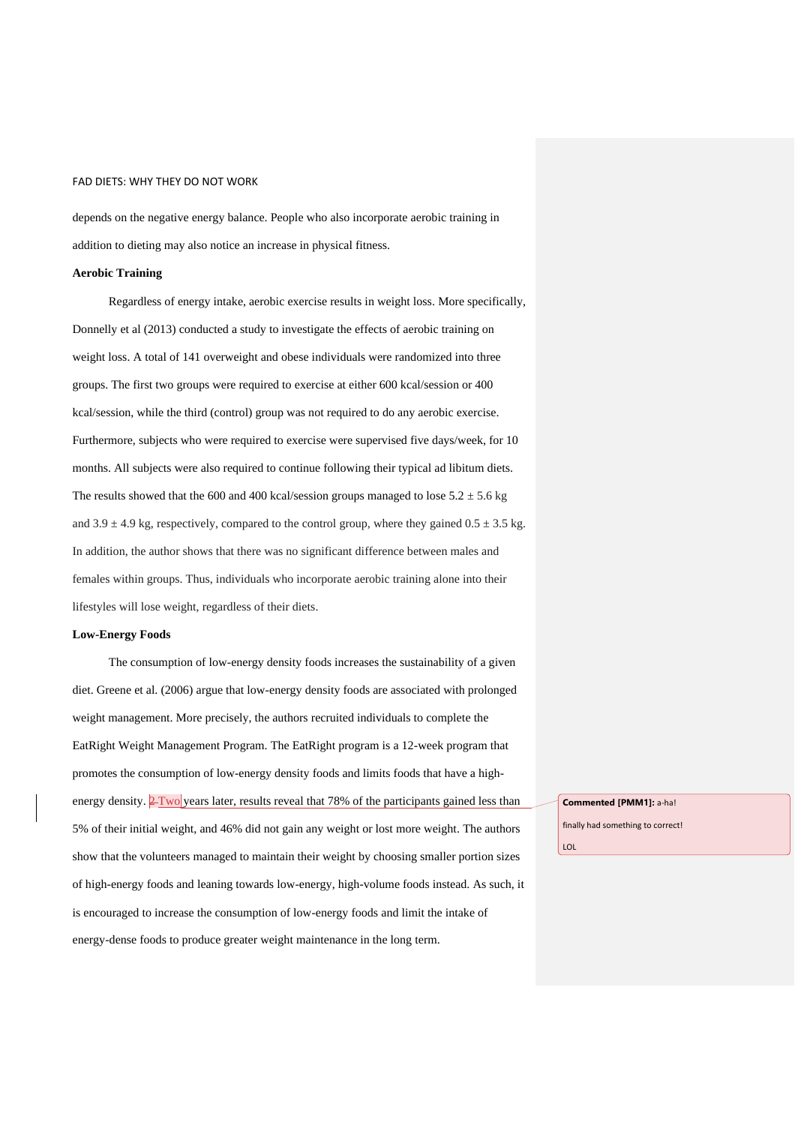depends on the negative energy balance. People who also incorporate aerobic training in addition to dieting may also notice an increase in physical fitness.

### **Aerobic Training**

Regardless of energy intake, aerobic exercise results in weight loss. More specifically, Donnelly et al (2013) conducted a study to investigate the effects of aerobic training on weight loss. A total of 141 overweight and obese individuals were randomized into three groups. The first two groups were required to exercise at either 600 kcal/session or 400 kcal/session, while the third (control) group was not required to do any aerobic exercise. Furthermore, subjects who were required to exercise were supervised five days/week, for 10 months. All subjects were also required to continue following their typical ad libitum diets. The results showed that the 600 and 400 kcal/session groups managed to lose  $5.2 \pm 5.6$  kg and  $3.9 \pm 4.9$  kg, respectively, compared to the control group, where they gained  $0.5 \pm 3.5$  kg. In addition, the author shows that there was no significant difference between males and females within groups. Thus, individuals who incorporate aerobic training alone into their lifestyles will lose weight, regardless of their diets.

### **Low-Energy Foods**

The consumption of low-energy density foods increases the sustainability of a given diet. Greene et al. (2006) argue that low-energy density foods are associated with prolonged weight management. More precisely, the authors recruited individuals to complete the EatRight Weight Management Program. The EatRight program is a 12-week program that promotes the consumption of low-energy density foods and limits foods that have a highenergy density.  $2$  Two years later, results reveal that 78% of the participants gained less than 5% of their initial weight, and 46% did not gain any weight or lost more weight. The authors show that the volunteers managed to maintain their weight by choosing smaller portion sizes of high-energy foods and leaning towards low-energy, high-volume foods instead. As such, it is encouraged to increase the consumption of low-energy foods and limit the intake of energy-dense foods to produce greater weight maintenance in the long term.

**Commented [PMM1]:** a-ha!

finally had something to correct!

LOL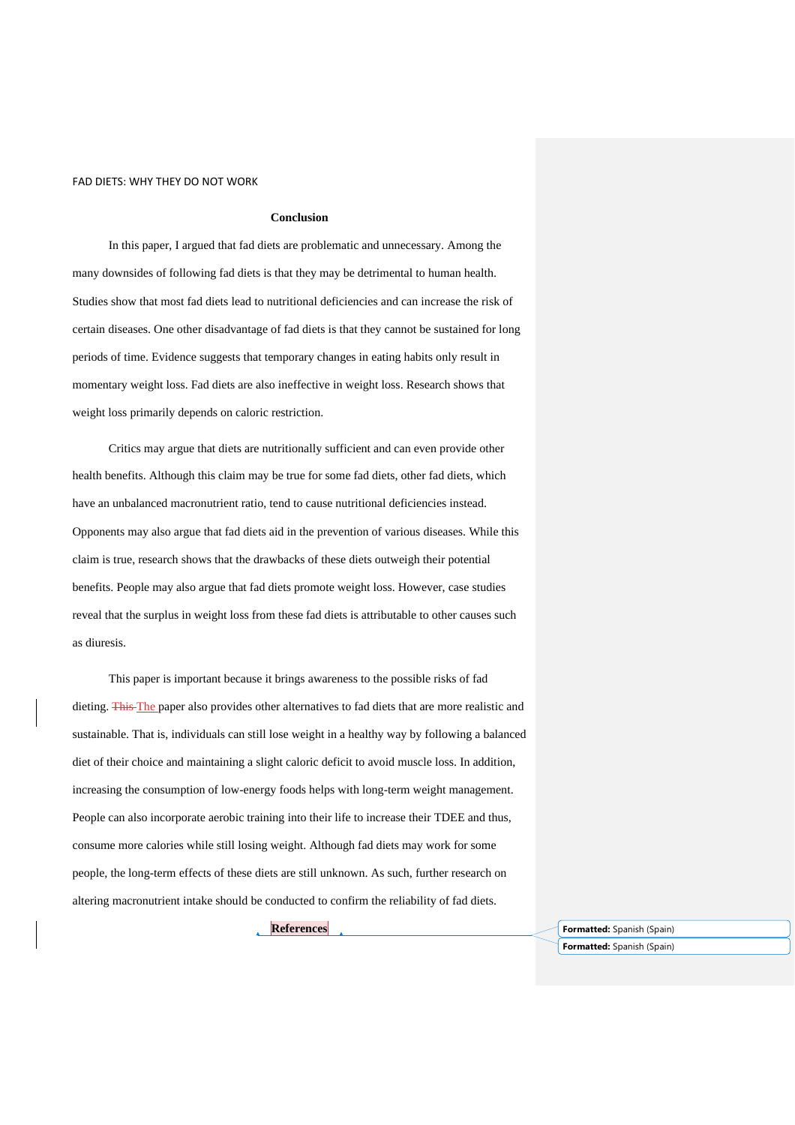#### **Conclusion**

In this paper, I argued that fad diets are problematic and unnecessary. Among the many downsides of following fad diets is that they may be detrimental to human health. Studies show that most fad diets lead to nutritional deficiencies and can increase the risk of certain diseases. One other disadvantage of fad diets is that they cannot be sustained for long periods of time. Evidence suggests that temporary changes in eating habits only result in momentary weight loss. Fad diets are also ineffective in weight loss. Research shows that weight loss primarily depends on caloric restriction.

Critics may argue that diets are nutritionally sufficient and can even provide other health benefits. Although this claim may be true for some fad diets, other fad diets, which have an unbalanced macronutrient ratio, tend to cause nutritional deficiencies instead. Opponents may also argue that fad diets aid in the prevention of various diseases. While this claim is true, research shows that the drawbacks of these diets outweigh their potential benefits. People may also argue that fad diets promote weight loss. However, case studies reveal that the surplus in weight loss from these fad diets is attributable to other causes such as diuresis.

This paper is important because it brings awareness to the possible risks of fad dieting. This The paper also provides other alternatives to fad diets that are more realistic and sustainable. That is, individuals can still lose weight in a healthy way by following a balanced diet of their choice and maintaining a slight caloric deficit to avoid muscle loss. In addition, increasing the consumption of low-energy foods helps with long-term weight management. People can also incorporate aerobic training into their life to increase their TDEE and thus, consume more calories while still losing weight. Although fad diets may work for some people, the long-term effects of these diets are still unknown. As such, further research on altering macronutrient intake should be conducted to confirm the reliability of fad diets.

**References Formatted:** Spanish (Spain) **Formatted:** Spanish (Spain)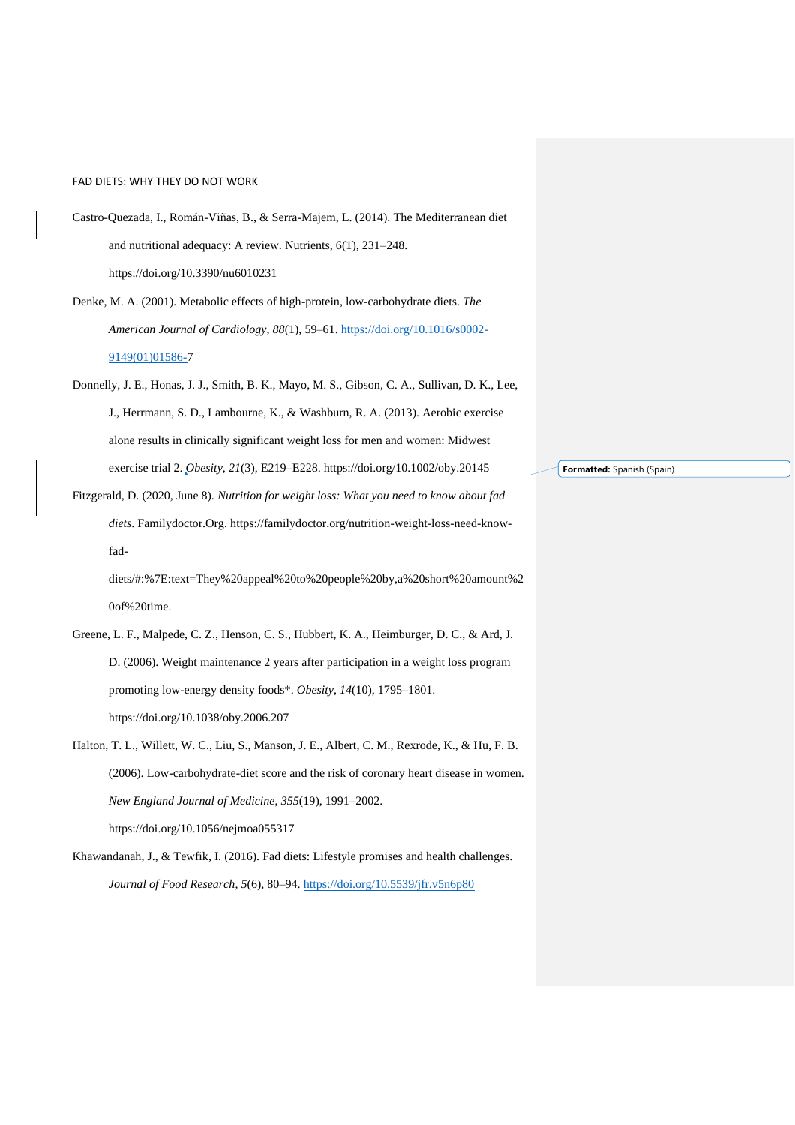- Castro-Quezada, I., Román-Viñas, B., & Serra-Majem, L. (2014). The Mediterranean diet and nutritional adequacy: A review. Nutrients, 6(1), 231–248. https://doi.org/10.3390/nu6010231
- Denke, M. A. (2001). Metabolic effects of high-protein, low-carbohydrate diets. *The American Journal of Cardiology*, *88*(1), 59–61. [https://doi.org/10.1016/s0002-](https://doi.org/10.1016/s0002-9149(01)01586-) [9149\(01\)01586-7](https://doi.org/10.1016/s0002-9149(01)01586-)
- Donnelly, J. E., Honas, J. J., Smith, B. K., Mayo, M. S., Gibson, C. A., Sullivan, D. K., Lee, J., Herrmann, S. D., Lambourne, K., & Washburn, R. A. (2013). Aerobic exercise alone results in clinically significant weight loss for men and women: Midwest exercise trial 2. *Obesity*, *21*(3), E219–E228. https://doi.org/10.1002/oby.20145
- Fitzgerald, D. (2020, June 8). *Nutrition for weight loss: What you need to know about fad diets*. Familydoctor.Org. https://familydoctor.org/nutrition-weight-loss-need-knowfad-

diets/#:%7E:text=They%20appeal%20to%20people%20by,a%20short%20amount%2 0of%20time.

- Greene, L. F., Malpede, C. Z., Henson, C. S., Hubbert, K. A., Heimburger, D. C., & Ard, J. D. (2006). Weight maintenance 2 years after participation in a weight loss program promoting low-energy density foods\*. *Obesity*, *14*(10), 1795–1801. https://doi.org/10.1038/oby.2006.207
- Halton, T. L., Willett, W. C., Liu, S., Manson, J. E., Albert, C. M., Rexrode, K., & Hu, F. B. (2006). Low-carbohydrate-diet score and the risk of coronary heart disease in women. *New England Journal of Medicine*, *355*(19), 1991–2002. https://doi.org/10.1056/nejmoa055317
- Khawandanah, J., & Tewfik, I. (2016). Fad diets: Lifestyle promises and health challenges. *Journal of Food Research*, *5*(6), 80–94.<https://doi.org/10.5539/jfr.v5n6p80>

**Formatted:** Spanish (Spain)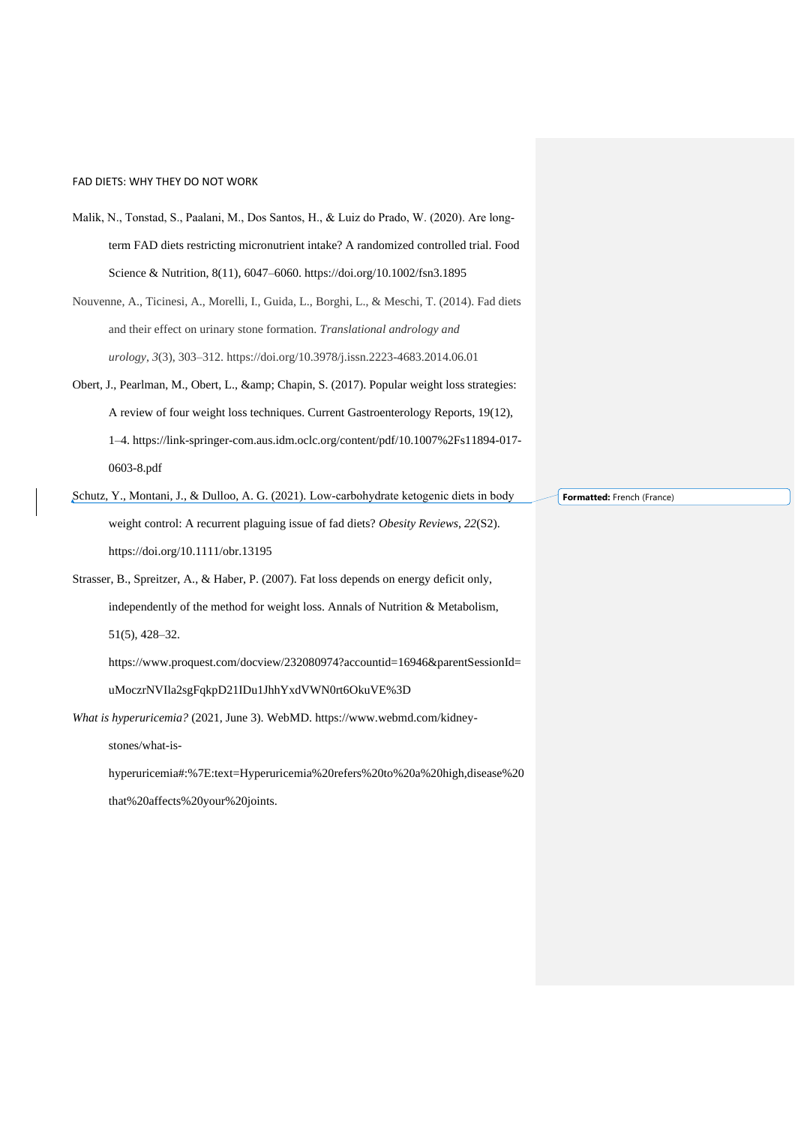- Malik, N., Tonstad, S., Paalani, M., Dos Santos, H., & Luiz do Prado, W. (2020). Are long‐ term FAD diets restricting micronutrient intake? A randomized controlled trial. Food Science & Nutrition, 8(11), 6047–6060. https://doi.org/10.1002/fsn3.1895
- Nouvenne, A., Ticinesi, A., Morelli, I., Guida, L., Borghi, L., & Meschi, T. (2014). Fad diets and their effect on urinary stone formation. *Translational andrology and urology*, *3*(3), 303–312. https://doi.org/10.3978/j.issn.2223-4683.2014.06.01
- Obert, J., Pearlman, M., Obert, L., & amp; Chapin, S. (2017). Popular weight loss strategies: A review of four weight loss techniques. Current Gastroenterology Reports, 19(12), 1–4. https://link-springer-com.aus.idm.oclc.org/content/pdf/10.1007%2Fs11894-017- 0603-8.pdf
- Schutz, Y., Montani, J., & Dulloo, A. G. (2021). Low‐carbohydrate ketogenic diets in body weight control: A recurrent plaguing issue of fad diets? *Obesity Reviews*, *22*(S2). https://doi.org/10.1111/obr.13195
- Strasser, B., Spreitzer, A., & Haber, P. (2007). Fat loss depends on energy deficit only, independently of the method for weight loss. Annals of Nutrition & Metabolism, 51(5), 428–32. https://www.proquest.com/docview/232080974?accountid=16946&parentSessionId=

### uMoczrNVIla2sgFqkpD21IDu1JhhYxdVWN0rt6OkuVE%3D

*What is hyperuricemia?* (2021, June 3). WebMD. https://www.webmd.com/kidney-

stones/what-is-

hyperuricemia#:%7E:text=Hyperuricemia%20refers%20to%20a%20high,disease%20 that%20affects%20your%20joints.

**Formatted:** French (France)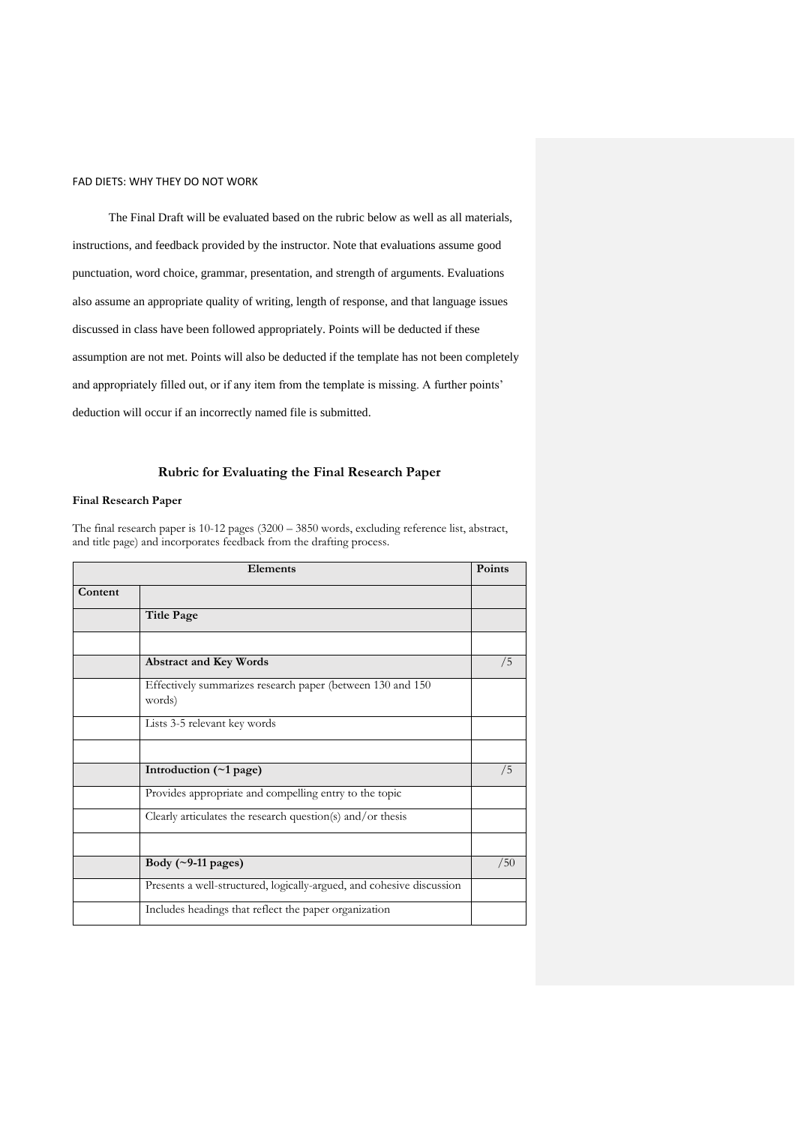The Final Draft will be evaluated based on the rubric below as well as all materials, instructions, and feedback provided by the instructor. Note that evaluations assume good punctuation, word choice, grammar, presentation, and strength of arguments. Evaluations also assume an appropriate quality of writing, length of response, and that language issues discussed in class have been followed appropriately. Points will be deducted if these assumption are not met. Points will also be deducted if the template has not been completely and appropriately filled out, or if any item from the template is missing. A further points' deduction will occur if an incorrectly named file is submitted.

### **Rubric for Evaluating the Final Research Paper**

## **Final Research Paper**

The final research paper is 10-12 pages (3200 – 3850 words, excluding reference list, abstract, and title page) and incorporates feedback from the drafting process.

| Elements |                                                                       | Points |
|----------|-----------------------------------------------------------------------|--------|
| Content  |                                                                       |        |
|          | <b>Title Page</b>                                                     |        |
|          |                                                                       |        |
|          | <b>Abstract and Key Words</b>                                         | /5     |
|          | Effectively summarizes research paper (between 130 and 150<br>words)  |        |
|          | Lists 3-5 relevant key words                                          |        |
|          |                                                                       |        |
|          | Introduction (~1 page)                                                | /5     |
|          | Provides appropriate and compelling entry to the topic                |        |
|          | Clearly articulates the research question(s) and/or thesis            |        |
|          |                                                                       |        |
|          | Body $(\sim 9-11$ pages)                                              | /50    |
|          | Presents a well-structured, logically-argued, and cohesive discussion |        |
|          | Includes headings that reflect the paper organization                 |        |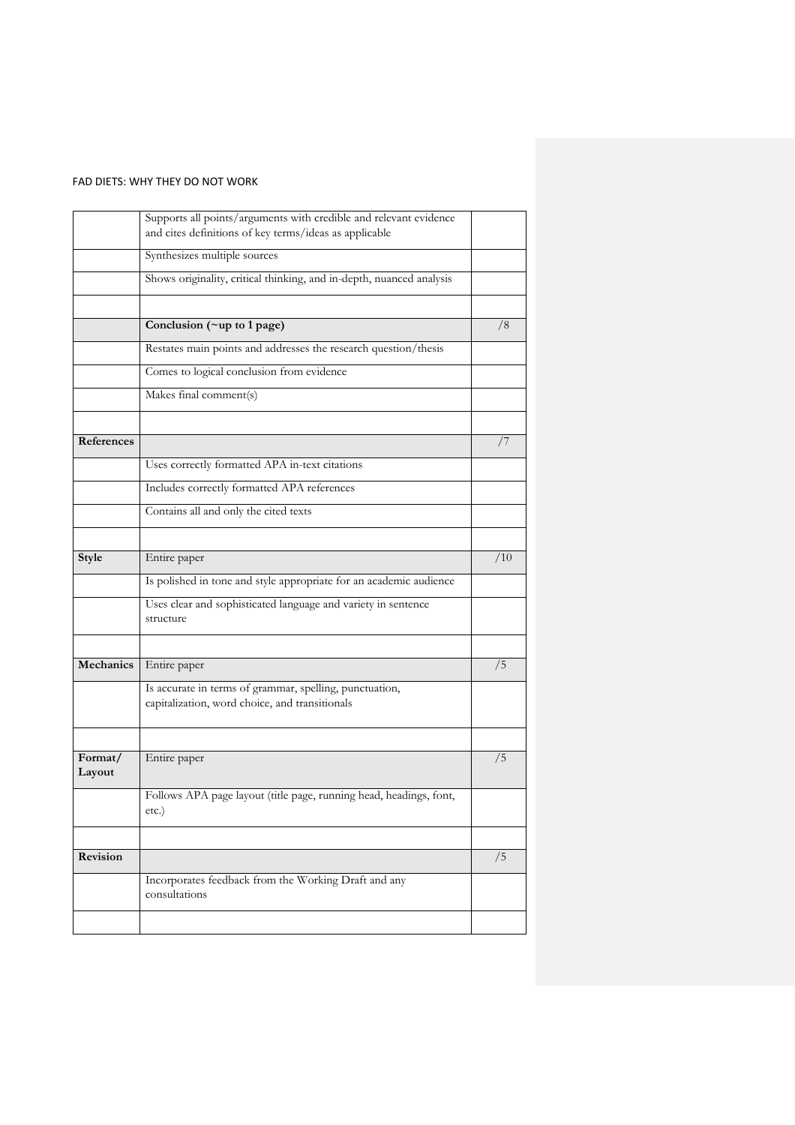|                   | Supports all points/arguments with credible and relevant evidence<br>and cites definitions of key terms/ideas as applicable |     |
|-------------------|-----------------------------------------------------------------------------------------------------------------------------|-----|
|                   | Synthesizes multiple sources                                                                                                |     |
|                   | Shows originality, critical thinking, and in-depth, nuanced analysis                                                        |     |
|                   |                                                                                                                             |     |
|                   | Conclusion (~up to 1 page)                                                                                                  | /8  |
|                   | Restates main points and addresses the research question/thesis                                                             |     |
|                   | Comes to logical conclusion from evidence                                                                                   |     |
|                   | Makes final comment(s)                                                                                                      |     |
|                   |                                                                                                                             |     |
| References        |                                                                                                                             | 77  |
|                   | Uses correctly formatted APA in-text citations                                                                              |     |
|                   | Includes correctly formatted APA references                                                                                 |     |
|                   | Contains all and only the cited texts                                                                                       |     |
|                   |                                                                                                                             |     |
| Style             | Entire paper                                                                                                                | /10 |
|                   | Is polished in tone and style appropriate for an academic audience                                                          |     |
|                   | Uses clear and sophisticated language and variety in sentence<br>structure                                                  |     |
|                   |                                                                                                                             |     |
| Mechanics         | Entire paper                                                                                                                | /5  |
|                   | Is accurate in terms of grammar, spelling, punctuation,<br>capitalization, word choice, and transitionals                   |     |
|                   |                                                                                                                             |     |
| Format/<br>Layout | Entire paper                                                                                                                | /5  |
|                   | Follows APA page layout (title page, running head, headings, font,<br>etc.)                                                 |     |
|                   |                                                                                                                             |     |
| Revision          |                                                                                                                             | /5  |
|                   | Incorporates feedback from the Working Draft and any<br>consultations                                                       |     |
|                   |                                                                                                                             |     |